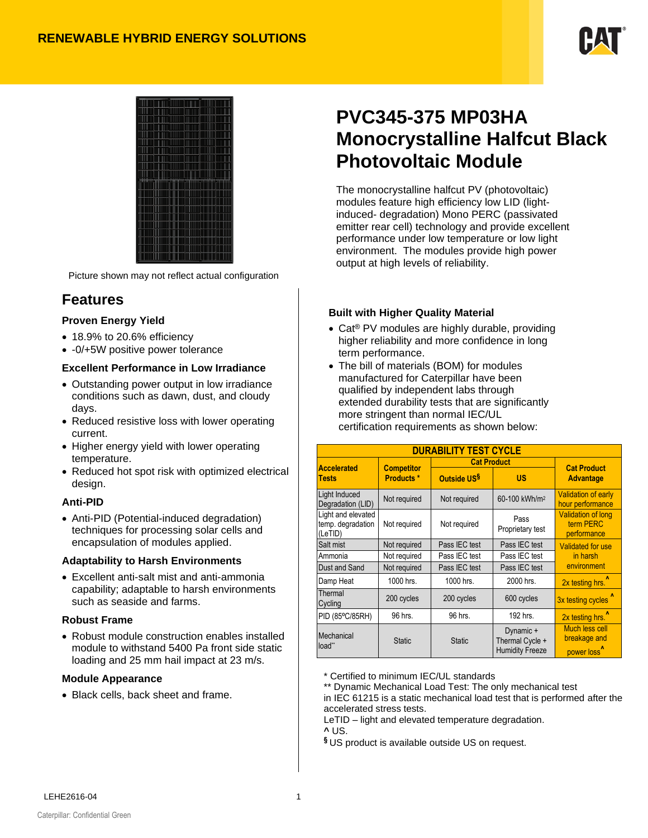



Picture shown may not reflect actual configuration

## **Features**

#### **Proven Energy Yield**

- 18.9% to 20.6% efficiency
- -0/+5W positive power tolerance

#### **Excellent Performance in Low Irradiance**

- Outstanding power output in low irradiance conditions such as dawn, dust, and cloudy days.
- Reduced resistive loss with lower operating current.
- Higher energy yield with lower operating temperature.
- Reduced hot spot risk with optimized electrical design.

#### **Anti-PID**

• Anti-PID (Potential-induced degradation) techniques for processing solar cells and encapsulation of modules applied.

#### **Adaptability to Harsh Environments**

• Excellent anti-salt mist and anti-ammonia capability; adaptable to harsh environments such as seaside and farms.

#### **Robust Frame**

• Robust module construction enables installed module to withstand 5400 Pa front side static loading and 25 mm hail impact at 23 m/s.

#### **Module Appearance**

• Black cells, back sheet and frame.

# **PVC345-375 MP03HA Monocrystalline Halfcut Black Photovoltaic Module**

The monocrystalline halfcut PV (photovoltaic) modules feature high efficiency low LID (lightinduced- degradation) Mono PERC (passivated emitter rear cell) technology and provide excellent performance under low temperature or low light environment. The modules provide high power output at high levels of reliability.

#### **Built with Higher Quality Material**

- Cat<sup>®</sup> PV modules are highly durable, providing higher reliability and more confidence in long term performance.
- The bill of materials (BOM) for modules manufactured for Caterpillar have been qualified by independent labs through extended durability tests that are significantly more stringent than normal IEC/UL certification requirements as shown below:

| <b>DURABILITY TEST CYCLE</b>                       |                   |                                |                                                        |                                                           |  |  |  |  |
|----------------------------------------------------|-------------------|--------------------------------|--------------------------------------------------------|-----------------------------------------------------------|--|--|--|--|
| <b>Accelerated</b>                                 | <b>Competitor</b> | <b>Cat Product</b>             | <b>Cat Product</b>                                     |                                                           |  |  |  |  |
| <b>Tests</b>                                       | <b>Products *</b> | Outside US <sup>§</sup>        | US                                                     | <b>Advantage</b>                                          |  |  |  |  |
| Light Induced<br>Degradation (LID)                 | Not required      | Not required                   | 60-100 kWh/m <sup>2</sup>                              | <b>Validation of early</b><br>hour performance            |  |  |  |  |
| Light and elevated<br>temp. degradation<br>(LeTID) | Not required      | Not required                   | Pass<br>Proprietary test                               | <b>Validation of long</b><br>term PERC<br>performance     |  |  |  |  |
| Salt mist                                          | Not required      | Pass IEC test                  | Pass IEC test                                          | <b>Validated for use</b>                                  |  |  |  |  |
| Ammonia                                            | Not required      | Pass IEC test<br>Pass IEC test |                                                        | in harsh                                                  |  |  |  |  |
| Dust and Sand                                      | Not required      | Pass IEC test                  | Pass IEC test                                          | environment                                               |  |  |  |  |
| Damp Heat                                          | 1000 hrs.         | 1000 hrs.                      | 2000 hrs.                                              | 2x testing hrs. <sup>1</sup>                              |  |  |  |  |
| Thermal<br>Cycling                                 | 200 cycles        | 200 cycles                     | 600 cycles                                             | 3x testing cycles                                         |  |  |  |  |
| PID (85°C/85RH)                                    | 96 hrs.           | 96 hrs.                        | 192 hrs.                                               | 2x testing hrs. <sup>1</sup>                              |  |  |  |  |
| Mechanical<br>load**                               | <b>Static</b>     | <b>Static</b>                  | Dynamic +<br>Thermal Cycle +<br><b>Humidity Freeze</b> | Much less cell<br>breakage and<br>power loss <sup>1</sup> |  |  |  |  |

\* Certified to minimum IEC/UL standards

\*\* Dynamic Mechanical Load Test: The only mechanical test in IEC 61215 is a static mechanical load test that is performed after the accelerated stress tests.

LeTID – light and elevated temperature degradation.

**^** US.

**§** US product is available outside US on request.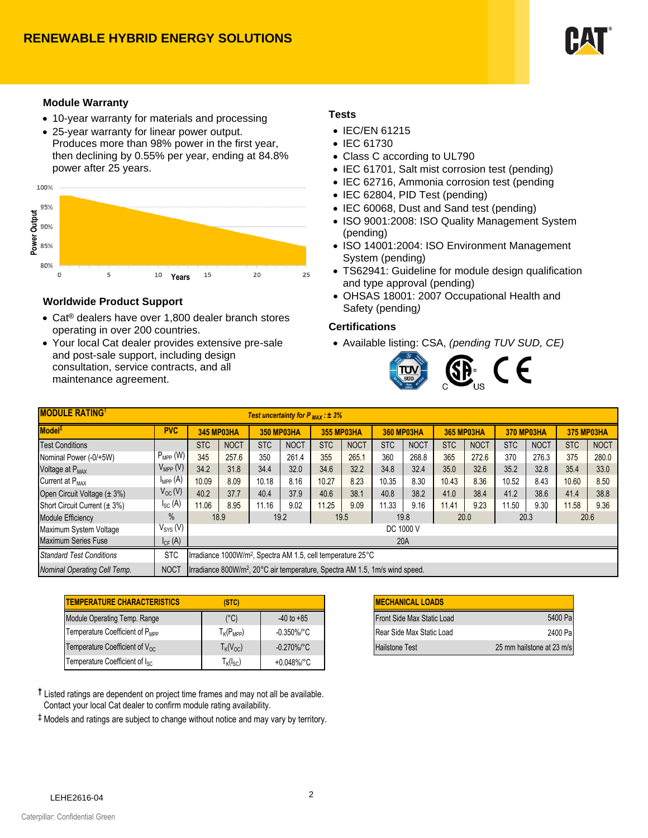

#### **Module Warranty**

- 10-year warranty for materials and processing
- 25-year warranty for linear power output. Produces more than 98% power in the first year, then declining by 0.55% per year, ending at 84.8% power after 25 years.



#### **Worldwide Product Support**

- Cat® dealers have over 1,800 dealer branch stores operating in over 200 countries.
- Your local Cat dealer provides extensive pre-sale and post-sale support, including design consultation, service contracts, and all maintenance agreement.

#### **Tests**

- IEC/EN 61215
- IEC 61730
- Class C according to UL790
- IEC 61701, Salt mist corrosion test (pending)
- IEC 62716, Ammonia corrosion test (pending
- IEC 62804, PID Test (pending)
- IEC 60068, Dust and Sand test (pending)
- ISO 9001:2008: ISO Quality Management System (pending)
- ISO 14001:2004: ISO Environment Management System (pending)
- TS62941: Guideline for module design qualification and type approval (pending)
- OHSAS 18001: 2007 Occupational Health and Safety (pending*)*

#### **Certifications**

• Available listing: CSA, *(pending TUV SUD, CE)*



| <b>MODULE RATING</b> T<br>Test uncertainty for $P_{MAX}$ : $\pm$ 3% |                     |                                                                                         |             |                   |             |                   |             |                   |             |                   |             |                   |             |                   |             |
|---------------------------------------------------------------------|---------------------|-----------------------------------------------------------------------------------------|-------------|-------------------|-------------|-------------------|-------------|-------------------|-------------|-------------------|-------------|-------------------|-------------|-------------------|-------------|
| Model <sup>‡</sup>                                                  | <b>PVC</b>          | <b>345 MP03HA</b>                                                                       |             | <b>350 MP03HA</b> |             | <b>355 MP03HA</b> |             | <b>360 MP03HA</b> |             | <b>365 MP03HA</b> |             | <b>370 MP03HA</b> |             | <b>375 MP03HA</b> |             |
| <b>Test Conditions</b>                                              |                     | <b>STC</b>                                                                              | <b>NOCT</b> | STC               | <b>NOCT</b> | <b>STC</b>        | <b>NOCT</b> | <b>STC</b>        | <b>NOCT</b> | <b>STC</b>        | <b>NOCT</b> | <b>STC</b>        | <b>NOCT</b> | <b>STC</b>        | <b>NOCT</b> |
| Nominal Power (-0/+5W)                                              | $P_{MPP}$ (W)       | 345                                                                                     | 257.6       | 350               | 261.4       | 355               | 265.1       | 360               | 268.8       | 365               | 272.6       | 370               | 276.3       | 375               | 280.0       |
| Voltage at P <sub>MAX</sub>                                         | $V_{MPP}$ (V)       | 34.2                                                                                    | 31.8        | 34.4              | 32.0        | 34.6              | 32.2        | 34.8              | 32.4        | 35.0              | 32.6        | 35.2              | 32.8        | 35.4              | 33.0        |
| Current at P <sub>MAY</sub>                                         | $I_{\text{MPP}}(A)$ | 10.09                                                                                   | 8.09        | 10.18             | 8.16        | 10.27             | 8.23        | 10.35             | 8.30        | 10.43             | 8.36        | 10.52             | 8.43        | 10.60             | 8.50        |
| Open Circuit Voltage (± 3%)                                         | $V_{OC}(V)$         | 40.2                                                                                    | 37.7        | 40.4              | 37.9        | 40.6              | 38.1        | 40.8              | 38.2        | 41.0              | 38.4        | 41.2              | 38.6        | 41.4              | 38.8        |
| Short Circuit Current $(\pm 3\%)$                                   | $I_{SC}$ (A)        | 11.06                                                                                   | 8.95        | 11.16             | 9.02        | 11.25             | 9.09        | 11.33             | 9.16        | 11.41             | 9.23        | 11.50             | 9.30        | 11.58             | 9.36        |
| <b>Module Efficiency</b>                                            | $\%$                | 18.9<br>19.2<br>20.3<br>19.8<br>20.0<br>20.6<br>19.5                                    |             |                   |             |                   |             |                   |             |                   |             |                   |             |                   |             |
| Maximum System Voltage                                              | $V_{SYS} (V)$       | DC 1000 V                                                                               |             |                   |             |                   |             |                   |             |                   |             |                   |             |                   |             |
| <b>Maximum Series Fuse</b>                                          | $I_{CF}$ (A)        | 20A                                                                                     |             |                   |             |                   |             |                   |             |                   |             |                   |             |                   |             |
| <b>Standard Test Conditions</b>                                     | <b>STC</b>          | Irradiance 1000W/m <sup>2</sup> , Spectra AM 1.5, cell temperature 25°C                 |             |                   |             |                   |             |                   |             |                   |             |                   |             |                   |             |
| Nominal Operating Cell Temp.                                        | <b>NOCT</b>         | Irradiance 800W/m <sup>2</sup> , 20°C air temperature, Spectra AM 1.5, 1m/s wind speed. |             |                   |             |                   |             |                   |             |                   |             |                   |             |                   |             |

| <b>ITEMPERATURE CHARACTERISTICS</b><br>(STC) |                                                      |                         |  |  |
|----------------------------------------------|------------------------------------------------------|-------------------------|--|--|
| Module Operating Temp. Range                 | $(^{\circ}C)$                                        | $-40$ to $+85$          |  |  |
| Temperature Coefficient of P <sub>MPP</sub>  | $\mathsf{T}_{\mathsf{K}}(\mathsf{P}_{\mathsf{MPP}})$ | -0.350%/°C              |  |  |
| Temperature Coefficient of V <sub>oc</sub>   | $T_{\mathsf{K}}({\mathsf{V}}_{\mathsf{OC}})$         | $-0.270\%$ $^{\circ}$ C |  |  |
| Temperature Coefficient of I <sub>sc</sub>   | $T_{K}(I_{SC})$                                      | +0.048%/°C              |  |  |

| STC)        |                         | <b>MECHANICAL LOADS</b>    |                           |
|-------------|-------------------------|----------------------------|---------------------------|
| (°C)        | $-40$ to $+85$          | Front Side Max Static Load | 5400 Pal                  |
| $(P_{MPP})$ | $-0.350\%$ $^{\circ}$ C | Rear Side Max Static Load  | 2400 Pal                  |
| $(V_{OC})$  | $-0.270\%$ /°C          | <b>Hailstone Test</b>      | 25 mm hailstone at 23 m/s |

**†** Listed ratings are dependent on project time frames and may not all be available. Contact your local Cat dealer to confirm module rating availability.

‡ Models and ratings are subject to change without notice and may vary by territory.